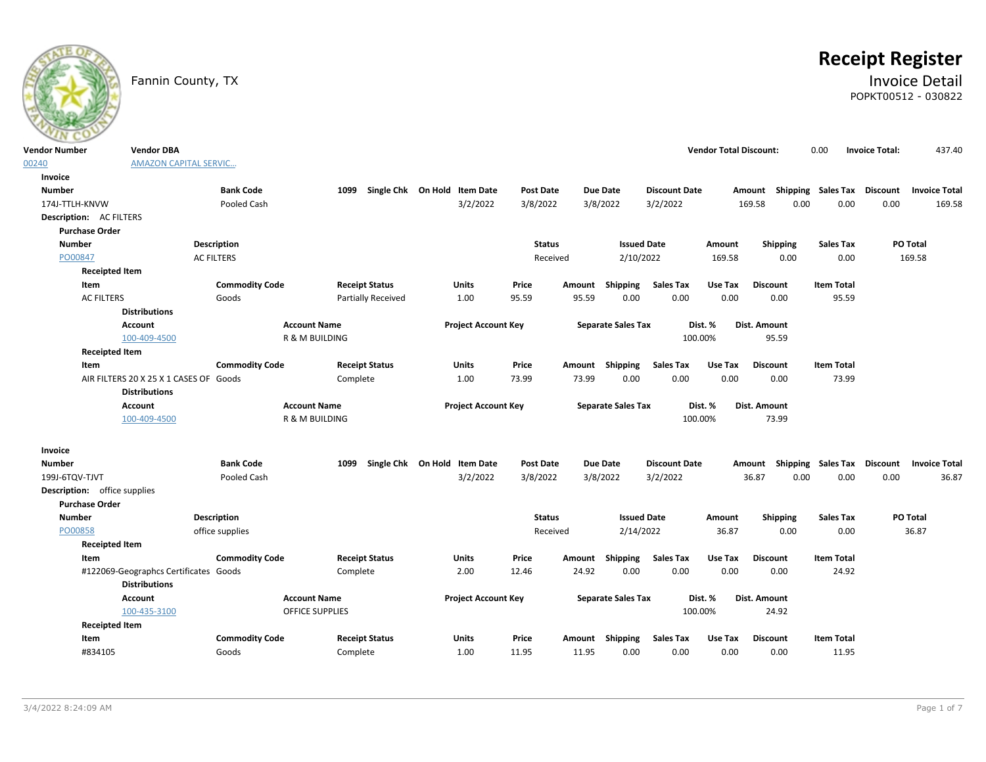

# **Receipt Register**

# Fannin County, TX **Invoice Detail** POPKT00512 - 030822

| <b>Vendor Number</b>         | <b>Vendor DBA</b>                      |                       |                           |                              |                  |        |                           |                      | <b>Vendor Total Discount:</b> |                                    | 0.00              | <b>Invoice Total:</b> | 437.40               |
|------------------------------|----------------------------------------|-----------------------|---------------------------|------------------------------|------------------|--------|---------------------------|----------------------|-------------------------------|------------------------------------|-------------------|-----------------------|----------------------|
| 00240                        | <b>AMAZON CAPITAL SERVIC</b>           |                       |                           |                              |                  |        |                           |                      |                               |                                    |                   |                       |                      |
| Invoice                      |                                        |                       |                           |                              |                  |        |                           |                      |                               |                                    |                   |                       |                      |
| <b>Number</b>                |                                        | <b>Bank Code</b>      | 1099                      | Single Chk On Hold Item Date | <b>Post Date</b> |        | Due Date                  | <b>Discount Date</b> |                               | Amount Shipping Sales Tax Discount |                   |                       | <b>Invoice Total</b> |
| 174J-TTLH-KNVW               |                                        | Pooled Cash           |                           | 3/2/2022                     | 3/8/2022         |        | 3/8/2022                  | 3/2/2022             |                               | 169.58<br>0.00                     | 0.00              | 0.00                  | 169.58               |
| Description: AC FILTERS      |                                        |                       |                           |                              |                  |        |                           |                      |                               |                                    |                   |                       |                      |
| <b>Purchase Order</b>        |                                        |                       |                           |                              |                  |        |                           |                      |                               |                                    |                   |                       |                      |
| <b>Number</b>                |                                        | <b>Description</b>    |                           |                              | <b>Status</b>    |        | <b>Issued Date</b>        |                      | Amount                        | Shipping                           | <b>Sales Tax</b>  |                       | <b>PO Total</b>      |
| PO00847                      |                                        | <b>AC FILTERS</b>     |                           |                              | Received         |        | 2/10/2022                 |                      | 169.58                        | 0.00                               | 0.00              |                       | 169.58               |
| <b>Receipted Item</b>        |                                        |                       |                           |                              |                  |        |                           |                      |                               |                                    |                   |                       |                      |
| Item                         |                                        | <b>Commodity Code</b> | <b>Receipt Status</b>     | <b>Units</b>                 | Price            | Amount | Shipping                  | <b>Sales Tax</b>     | Use Tax                       | <b>Discount</b>                    | <b>Item Total</b> |                       |                      |
| <b>AC FILTERS</b>            |                                        | Goods                 | <b>Partially Received</b> | 1.00                         | 95.59            | 95.59  | 0.00                      | 0.00                 | 0.00                          | 0.00                               | 95.59             |                       |                      |
|                              | <b>Distributions</b>                   |                       |                           |                              |                  |        |                           |                      |                               |                                    |                   |                       |                      |
|                              | <b>Account</b>                         | <b>Account Name</b>   |                           | <b>Project Account Key</b>   |                  |        | <b>Separate Sales Tax</b> |                      | Dist. %                       | Dist. Amount                       |                   |                       |                      |
|                              | 100-409-4500                           |                       | R & M BUILDING            |                              |                  |        |                           |                      | 100.00%                       | 95.59                              |                   |                       |                      |
| <b>Receipted Item</b>        |                                        |                       |                           |                              |                  |        |                           |                      |                               |                                    |                   |                       |                      |
| Item                         |                                        | <b>Commodity Code</b> | <b>Receipt Status</b>     | <b>Units</b>                 | Price            |        | Amount Shipping           | <b>Sales Tax</b>     | Use Tax                       | <b>Discount</b>                    | <b>Item Total</b> |                       |                      |
|                              | AIR FILTERS 20 X 25 X 1 CASES OF Goods |                       | Complete                  | 1.00                         | 73.99            | 73.99  | 0.00                      | 0.00                 | 0.00                          | 0.00                               | 73.99             |                       |                      |
|                              | <b>Distributions</b>                   |                       |                           |                              |                  |        |                           |                      |                               |                                    |                   |                       |                      |
|                              | Account                                | <b>Account Name</b>   |                           | <b>Project Account Key</b>   |                  |        | <b>Separate Sales Tax</b> |                      | Dist. %                       | Dist. Amount                       |                   |                       |                      |
|                              | 100-409-4500                           |                       | R & M BUILDING            |                              |                  |        |                           |                      | 100.00%                       | 73.99                              |                   |                       |                      |
| Invoice                      |                                        |                       |                           |                              |                  |        |                           |                      |                               |                                    |                   |                       |                      |
| <b>Number</b>                |                                        | <b>Bank Code</b>      | 1099                      | Single Chk On Hold Item Date | <b>Post Date</b> |        | <b>Due Date</b>           | <b>Discount Date</b> |                               | Amount Shipping Sales Tax Discount |                   |                       | <b>Invoice Total</b> |
| 199J-6TOV-TJVT               |                                        | Pooled Cash           |                           | 3/2/2022                     | 3/8/2022         |        | 3/8/2022                  | 3/2/2022             |                               | 36.87<br>0.00                      | 0.00              | 0.00                  | 36.87                |
| Description: office supplies |                                        |                       |                           |                              |                  |        |                           |                      |                               |                                    |                   |                       |                      |
| <b>Purchase Order</b>        |                                        |                       |                           |                              |                  |        |                           |                      |                               |                                    |                   |                       |                      |
| <b>Number</b>                |                                        | Description           |                           |                              | <b>Status</b>    |        | <b>Issued Date</b>        |                      | Amount                        | Shipping                           | <b>Sales Tax</b>  |                       | PO Total             |
| PO00858                      |                                        | office supplies       |                           |                              | Received         |        | 2/14/2022                 |                      | 36.87                         | 0.00                               | 0.00              |                       | 36.87                |
| <b>Receipted Item</b>        |                                        |                       |                           |                              |                  |        |                           |                      |                               |                                    |                   |                       |                      |
| Item                         |                                        | <b>Commodity Code</b> | <b>Receipt Status</b>     | <b>Units</b>                 | Price            | Amount | Shipping                  | <b>Sales Tax</b>     | Use Tax                       | <b>Discount</b>                    | <b>Item Total</b> |                       |                      |
|                              | #122069-Geographcs Certificates Goods  |                       | Complete                  | 2.00                         | 12.46            | 24.92  | 0.00                      | 0.00                 | 0.00                          | 0.00                               | 24.92             |                       |                      |
|                              | <b>Distributions</b>                   |                       |                           |                              |                  |        |                           |                      |                               |                                    |                   |                       |                      |
|                              | <b>Account</b>                         | <b>Account Name</b>   |                           | <b>Project Account Key</b>   |                  |        | <b>Separate Sales Tax</b> |                      | Dist. %                       | Dist. Amount                       |                   |                       |                      |
|                              | 100-435-3100                           |                       | <b>OFFICE SUPPLIES</b>    |                              |                  |        |                           |                      | 100.00%                       | 24.92                              |                   |                       |                      |
| <b>Receipted Item</b>        |                                        |                       |                           |                              |                  |        |                           |                      |                               |                                    |                   |                       |                      |
| Item                         |                                        | <b>Commodity Code</b> | <b>Receipt Status</b>     | Units                        | Price            |        | Amount Shipping           | <b>Sales Tax</b>     | Use Tax                       | <b>Discount</b>                    | <b>Item Total</b> |                       |                      |
| #834105                      |                                        | Goods                 | Complete                  | 1.00                         | 11.95            | 11.95  | 0.00                      | 0.00                 | 0.00                          | 0.00                               | 11.95             |                       |                      |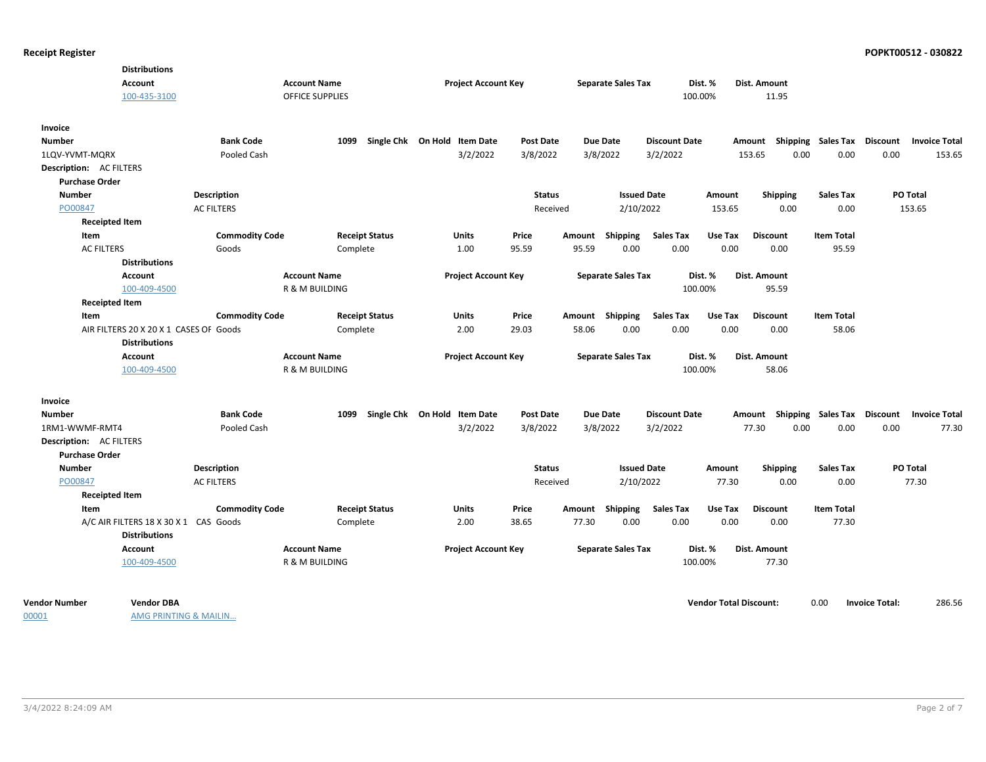| <b>Distributions</b>                   |                       |                        |                              |                  |                 |                           |                      |         |                                                  |                   |          |                      |
|----------------------------------------|-----------------------|------------------------|------------------------------|------------------|-----------------|---------------------------|----------------------|---------|--------------------------------------------------|-------------------|----------|----------------------|
| <b>Account</b>                         |                       | <b>Account Name</b>    | <b>Project Account Key</b>   |                  |                 | <b>Separate Sales Tax</b> |                      | Dist. % | Dist. Amount                                     |                   |          |                      |
| 100-435-3100                           |                       | <b>OFFICE SUPPLIES</b> |                              |                  |                 |                           | 100.00%              |         | 11.95                                            |                   |          |                      |
| Invoice                                |                       |                        |                              |                  |                 |                           |                      |         |                                                  |                   |          |                      |
| <b>Number</b>                          | <b>Bank Code</b>      | 1099                   | Single Chk On Hold Item Date | <b>Post Date</b> | Due Date        |                           | <b>Discount Date</b> |         | Amount Shipping Sales Tax Discount Invoice Total |                   |          |                      |
| 1LQV-YVMT-MQRX                         | Pooled Cash           |                        | 3/2/2022                     | 3/8/2022         | 3/8/2022        |                           | 3/2/2022             |         | 0.00<br>153.65                                   | 0.00              | 0.00     | 153.65               |
| <b>Description: AC FILTERS</b>         |                       |                        |                              |                  |                 |                           |                      |         |                                                  |                   |          |                      |
| <b>Purchase Order</b>                  |                       |                        |                              |                  |                 |                           |                      |         |                                                  |                   |          |                      |
| <b>Number</b>                          | Description           |                        |                              | <b>Status</b>    |                 | <b>Issued Date</b>        |                      | Amount  | <b>Shipping</b>                                  | <b>Sales Tax</b>  | PO Total |                      |
| PO00847                                | <b>AC FILTERS</b>     |                        |                              | Received         |                 | 2/10/2022                 |                      | 153.65  | 0.00                                             | 0.00              | 153.65   |                      |
| <b>Receipted Item</b>                  |                       |                        |                              |                  |                 |                           |                      |         |                                                  |                   |          |                      |
| Item                                   | <b>Commodity Code</b> | <b>Receipt Status</b>  | Units                        | Price            | Amount          | Shipping                  | <b>Sales Tax</b>     | Use Tax | <b>Discount</b>                                  | <b>Item Total</b> |          |                      |
| <b>AC FILTERS</b>                      | Goods                 | Complete               | 1.00                         | 95.59            | 95.59           | 0.00                      | 0.00                 | 0.00    | 0.00                                             | 95.59             |          |                      |
| <b>Distributions</b>                   |                       |                        |                              |                  |                 |                           |                      |         |                                                  |                   |          |                      |
| <b>Account</b>                         |                       | <b>Account Name</b>    | <b>Project Account Key</b>   |                  |                 | <b>Separate Sales Tax</b> |                      | Dist. % | Dist. Amount                                     |                   |          |                      |
| 100-409-4500                           |                       | R & M BUILDING         |                              |                  |                 |                           | 100.00%              |         | 95.59                                            |                   |          |                      |
| <b>Receipted Item</b>                  |                       |                        |                              |                  |                 |                           |                      |         |                                                  |                   |          |                      |
| Item                                   | <b>Commodity Code</b> | <b>Receipt Status</b>  | <b>Units</b>                 | Price            | Amount Shipping |                           | <b>Sales Tax</b>     | Use Tax | <b>Discount</b>                                  | <b>Item Total</b> |          |                      |
| AIR FILTERS 20 X 20 X 1 CASES OF Goods |                       | Complete               | 2.00                         | 29.03            | 58.06           | 0.00                      | 0.00                 | 0.00    | 0.00                                             | 58.06             |          |                      |
| <b>Distributions</b>                   |                       |                        |                              |                  |                 |                           |                      |         |                                                  |                   |          |                      |
| <b>Account</b>                         |                       | <b>Account Name</b>    | <b>Project Account Key</b>   |                  |                 | <b>Separate Sales Tax</b> |                      | Dist. % | Dist. Amount                                     |                   |          |                      |
| 100-409-4500                           |                       | R & M BUILDING         |                              |                  |                 |                           | 100.00%              |         | 58.06                                            |                   |          |                      |
| Invoice                                |                       |                        |                              |                  |                 |                           |                      |         |                                                  |                   |          |                      |
| <b>Number</b>                          | <b>Bank Code</b>      | 1099                   | Single Chk On Hold Item Date | <b>Post Date</b> | Due Date        |                           | <b>Discount Date</b> |         | Amount Shipping Sales Tax Discount               |                   |          | <b>Invoice Total</b> |
| 1RM1-WWMF-RMT4                         | Pooled Cash           |                        | 3/2/2022                     | 3/8/2022         | 3/8/2022        |                           | 3/2/2022             |         | 77.30<br>0.00                                    | 0.00              | 0.00     | 77.30                |
| Description: AC FILTERS                |                       |                        |                              |                  |                 |                           |                      |         |                                                  |                   |          |                      |
| <b>Purchase Order</b>                  |                       |                        |                              |                  |                 |                           |                      |         |                                                  |                   |          |                      |
| <b>Number</b>                          | Description           |                        |                              | <b>Status</b>    |                 | <b>Issued Date</b>        |                      | Amount  | Shipping                                         | <b>Sales Tax</b>  | PO Total |                      |
| PO00847                                | <b>AC FILTERS</b>     |                        |                              | Received         |                 | 2/10/2022                 |                      | 77.30   | 0.00                                             | 0.00              | 77.30    |                      |
| <b>Receipted Item</b>                  |                       |                        |                              |                  |                 |                           |                      |         |                                                  |                   |          |                      |
| Item                                   | <b>Commodity Code</b> | <b>Receipt Status</b>  | Units                        | Price            | Amount          | Shipping                  | <b>Sales Tax</b>     | Use Tax | <b>Discount</b>                                  | <b>Item Total</b> |          |                      |
| A/C AIR FILTERS 18 X 30 X 1 CAS Goods  |                       | Complete               | 2.00                         | 38.65            | 77.30           | 0.00                      | 0.00                 | 0.00    | 0.00                                             | 77.30             |          |                      |
| <b>Distributions</b>                   |                       |                        |                              |                  |                 |                           |                      |         |                                                  |                   |          |                      |
| <b>Account</b>                         |                       | <b>Account Name</b>    | <b>Project Account Key</b>   |                  |                 | <b>Separate Sales Tax</b> |                      | Dist. % | <b>Dist. Amount</b>                              |                   |          |                      |
| 100-409-4500                           |                       | R & M BUILDING         |                              |                  |                 |                           | 100.00%              |         | 77.30                                            |                   |          |                      |
|                                        |                       |                        |                              |                  |                 |                           |                      |         |                                                  |                   |          |                      |
|                                        |                       |                        |                              |                  |                 |                           |                      |         |                                                  |                   |          |                      |

00001

AMG PRINTING & MAILIN…

**Vendor Number Vendor Total Discount:** 286.56 **Vendor DBA** 0.00 **Invoice Total:**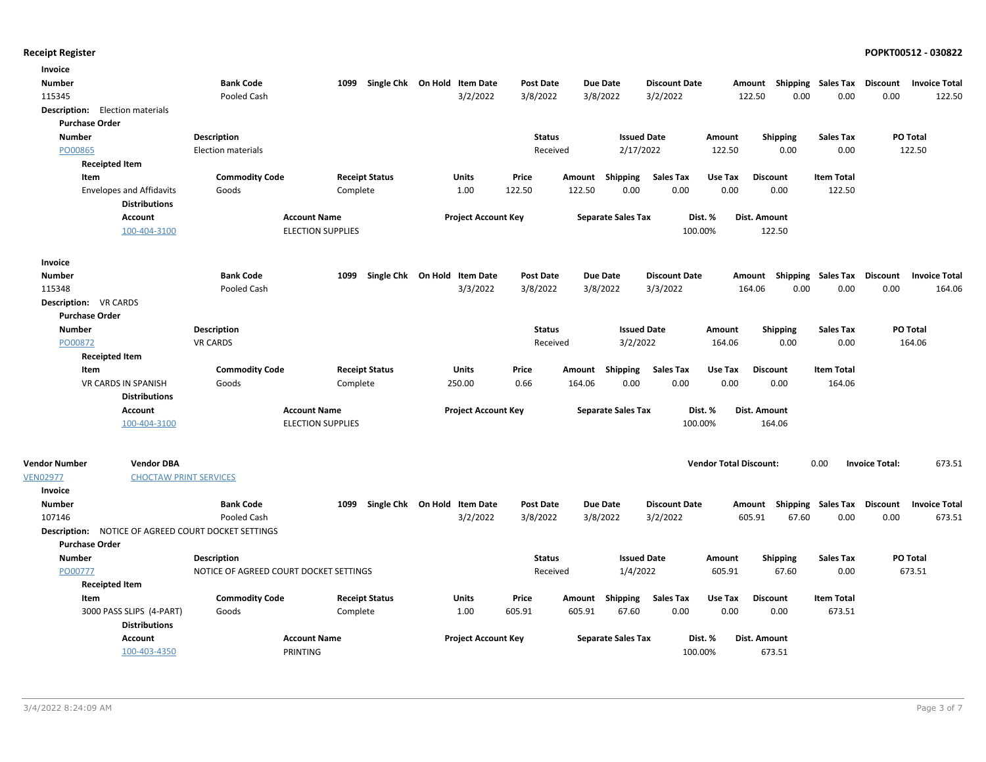| Invoice                                |                                 |                                                            |                          |                              |                            |                  |        |                           |                      |                               |                           |                             |                       |                      |
|----------------------------------------|---------------------------------|------------------------------------------------------------|--------------------------|------------------------------|----------------------------|------------------|--------|---------------------------|----------------------|-------------------------------|---------------------------|-----------------------------|-----------------------|----------------------|
| <b>Number</b>                          |                                 | <b>Bank Code</b>                                           | 1099                     | Single Chk On Hold Item Date |                            | <b>Post Date</b> |        | <b>Due Date</b>           | <b>Discount Date</b> | Amount                        |                           | <b>Shipping Sales Tax</b>   | Discount              | <b>Invoice Total</b> |
| 115345                                 |                                 | Pooled Cash                                                |                          |                              | 3/2/2022                   | 3/8/2022         |        | 3/8/2022                  | 3/2/2022             |                               | 122.50<br>0.00            | 0.00                        | 0.00                  | 122.50               |
| <b>Description:</b> Election materials |                                 |                                                            |                          |                              |                            |                  |        |                           |                      |                               |                           |                             |                       |                      |
| <b>Purchase Order</b>                  |                                 |                                                            |                          |                              |                            |                  |        |                           |                      |                               |                           |                             |                       |                      |
| <b>Number</b>                          |                                 | <b>Description</b>                                         |                          |                              |                            | <b>Status</b>    |        | <b>Issued Date</b>        |                      | Amount                        | Shipping                  | <b>Sales Tax</b>            |                       | PO Total             |
| PO00865                                |                                 | <b>Election materials</b>                                  |                          |                              |                            | Received         |        | 2/17/2022                 |                      | 122.50                        | 0.00                      | 0.00                        |                       | 122.50               |
|                                        | <b>Receipted Item</b>           |                                                            |                          |                              |                            |                  |        |                           |                      |                               |                           |                             |                       |                      |
| Item                                   |                                 | <b>Commodity Code</b>                                      |                          | <b>Receipt Status</b>        | <b>Units</b>               | Price            | Amount | <b>Shipping</b>           | <b>Sales Tax</b>     | Use Tax                       | <b>Discount</b>           | <b>Item Total</b>           |                       |                      |
|                                        | <b>Envelopes and Affidavits</b> | Goods                                                      | Complete                 |                              | 1.00                       | 122.50           | 122.50 | 0.00                      | 0.00                 | 0.00                          | 0.00                      | 122.50                      |                       |                      |
|                                        | <b>Distributions</b>            |                                                            |                          |                              |                            |                  |        |                           |                      |                               |                           |                             |                       |                      |
|                                        | Account                         |                                                            | <b>Account Name</b>      |                              | <b>Project Account Key</b> |                  |        | <b>Separate Sales Tax</b> | Dist. %              |                               | Dist. Amount              |                             |                       |                      |
|                                        | 100-404-3100                    |                                                            | <b>ELECTION SUPPLIES</b> |                              |                            |                  |        |                           | 100.00%              |                               | 122.50                    |                             |                       |                      |
| Invoice                                |                                 |                                                            |                          |                              |                            |                  |        |                           |                      |                               |                           |                             |                       |                      |
| <b>Number</b>                          |                                 | <b>Bank Code</b>                                           | 1099                     | Single Chk On Hold Item Date |                            | <b>Post Date</b> |        | <b>Due Date</b>           | <b>Discount Date</b> | Amount                        |                           | Shipping Sales Tax Discount |                       | <b>Invoice Total</b> |
| 115348                                 |                                 | Pooled Cash                                                |                          |                              | 3/3/2022                   | 3/8/2022         |        | 3/8/2022                  | 3/3/2022             |                               | 0.00<br>164.06            | 0.00                        | 0.00                  | 164.06               |
| <b>Description: VR CARDS</b>           |                                 |                                                            |                          |                              |                            |                  |        |                           |                      |                               |                           |                             |                       |                      |
| <b>Purchase Order</b>                  |                                 |                                                            |                          |                              |                            |                  |        |                           |                      |                               |                           |                             |                       |                      |
| <b>Number</b>                          |                                 | <b>Description</b>                                         |                          |                              |                            | <b>Status</b>    |        | <b>Issued Date</b>        |                      | Amount                        | <b>Shipping</b>           | <b>Sales Tax</b>            |                       | PO Total             |
| PO00872                                |                                 | <b>VR CARDS</b>                                            |                          |                              |                            | Received         |        | 3/2/2022                  |                      | 164.06                        | 0.00                      | 0.00                        |                       | 164.06               |
|                                        | <b>Receipted Item</b>           |                                                            |                          |                              |                            |                  |        |                           |                      |                               |                           |                             |                       |                      |
| Item                                   |                                 | <b>Commodity Code</b>                                      |                          | <b>Receipt Status</b>        | Units                      | Price            | Amount | <b>Shipping</b>           | <b>Sales Tax</b>     | Use Tax                       | <b>Discount</b>           | <b>Item Total</b>           |                       |                      |
|                                        | VR CARDS IN SPANISH             | Goods                                                      | Complete                 |                              | 250.00                     | 0.66             | 164.06 | 0.00                      | 0.00                 | 0.00                          | 0.00                      | 164.06                      |                       |                      |
|                                        | <b>Distributions</b>            |                                                            |                          |                              |                            |                  |        |                           |                      |                               |                           |                             |                       |                      |
|                                        | <b>Account</b>                  |                                                            | <b>Account Name</b>      |                              | <b>Project Account Key</b> |                  |        | <b>Separate Sales Tax</b> | Dist. %              |                               | Dist. Amount              |                             |                       |                      |
|                                        | 100-404-3100                    |                                                            | <b>ELECTION SUPPLIES</b> |                              |                            |                  |        |                           | 100.00%              |                               | 164.06                    |                             |                       |                      |
|                                        |                                 |                                                            |                          |                              |                            |                  |        |                           |                      |                               |                           |                             |                       |                      |
| <b>Vendor Number</b>                   | <b>Vendor DBA</b>               |                                                            |                          |                              |                            |                  |        |                           |                      | <b>Vendor Total Discount:</b> |                           | 0.00                        | <b>Invoice Total:</b> | 673.51               |
| <b>VEN02977</b>                        | <b>CHOCTAW PRINT SERVICES</b>   |                                                            |                          |                              |                            |                  |        |                           |                      |                               |                           |                             |                       |                      |
| Invoice                                |                                 |                                                            |                          |                              |                            |                  |        |                           |                      |                               |                           |                             |                       |                      |
| <b>Number</b>                          |                                 | <b>Bank Code</b>                                           | 1099                     | Single Chk On Hold Item Date |                            | <b>Post Date</b> |        | <b>Due Date</b>           | <b>Discount Date</b> |                               | Amount Shipping Sales Tax |                             | Discount              | <b>Invoice Total</b> |
| 107146                                 |                                 | Pooled Cash                                                |                          |                              | 3/2/2022                   | 3/8/2022         |        | 3/8/2022                  | 3/2/2022             |                               | 605.91<br>67.60           | 0.00                        | 0.00                  | 673.51               |
|                                        |                                 | <b>Description: NOTICE OF AGREED COURT DOCKET SETTINGS</b> |                          |                              |                            |                  |        |                           |                      |                               |                           |                             |                       |                      |
| <b>Purchase Order</b>                  |                                 |                                                            |                          |                              |                            |                  |        |                           |                      |                               |                           |                             |                       |                      |
| <b>Number</b>                          |                                 | <b>Description</b>                                         |                          |                              |                            | <b>Status</b>    |        | <b>Issued Date</b>        |                      | Amount                        | <b>Shipping</b>           | <b>Sales Tax</b>            |                       | PO Total             |
| PO00777                                |                                 | NOTICE OF AGREED COURT DOCKET SETTINGS                     |                          |                              |                            | Received         |        | 1/4/2022                  |                      | 605.91                        | 67.60                     | 0.00                        |                       | 673.51               |
|                                        | <b>Receipted Item</b>           |                                                            |                          |                              |                            |                  |        |                           |                      |                               |                           |                             |                       |                      |
| Item                                   |                                 | <b>Commodity Code</b>                                      |                          | <b>Receipt Status</b>        | Units                      | Price            |        | Amount Shipping           | <b>Sales Tax</b>     | Use Tax                       | <b>Discount</b>           | <b>Item Total</b>           |                       |                      |
|                                        | 3000 PASS SLIPS (4-PART)        | Goods                                                      | Complete                 |                              | 1.00                       | 605.91           | 605.91 | 67.60                     | 0.00                 | 0.00                          | 0.00                      | 673.51                      |                       |                      |
|                                        | <b>Distributions</b>            |                                                            |                          |                              |                            |                  |        |                           |                      |                               |                           |                             |                       |                      |
|                                        | <b>Account</b>                  |                                                            | <b>Account Name</b>      |                              | <b>Project Account Key</b> |                  |        | <b>Separate Sales Tax</b> | Dist. %              |                               | Dist. Amount              |                             |                       |                      |
|                                        | 100-403-4350                    |                                                            | PRINTING                 |                              |                            |                  |        |                           | 100.00%              |                               | 673.51                    |                             |                       |                      |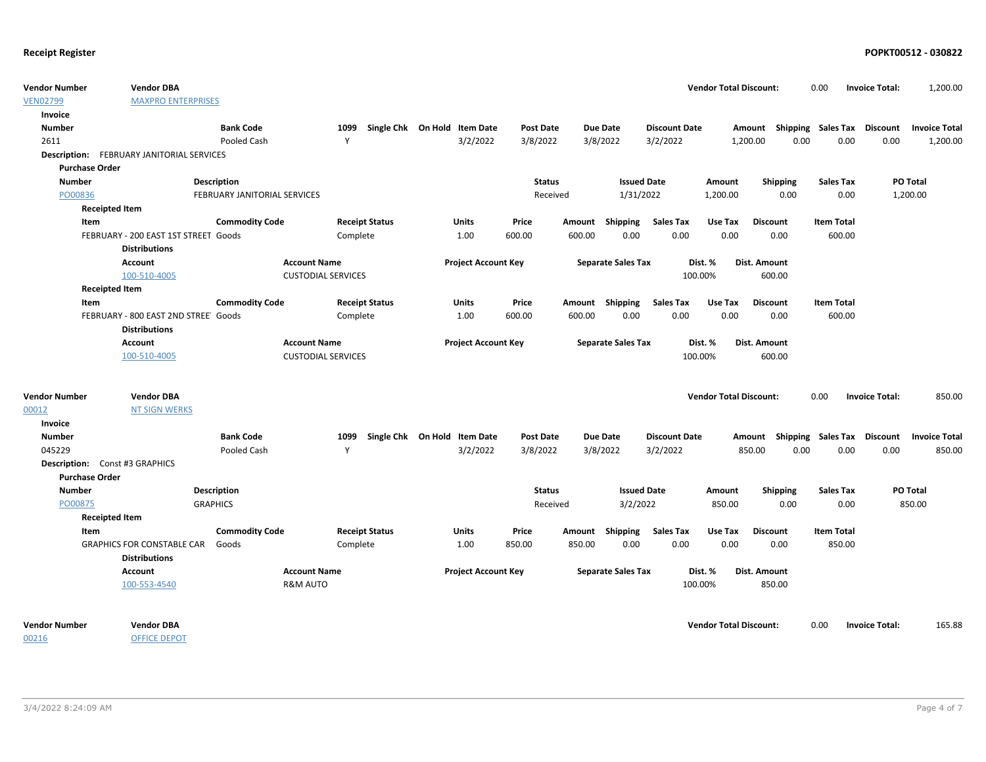| <b>VEN02799</b><br><b>MAXPRO ENTERPRISES</b><br>Invoice<br><b>Bank Code</b><br>1099<br>Single Chk On Hold Item Date<br><b>Due Date</b><br>Amount Shipping Sales Tax<br>Discount<br><b>Invoice Total</b><br><b>Number</b><br><b>Post Date</b><br><b>Discount Date</b><br>3/2/2022<br>3/8/2022<br>3/2/2022<br>2611<br>Pooled Cash<br>Y<br>3/8/2022<br>1,200.00<br>0.00<br>0.00<br>0.00<br>1,200.00<br>FEBRUARY JANITORIAL SERVICES<br><b>Description:</b><br><b>Purchase Order</b><br>PO Total<br><b>Number</b><br><b>Description</b><br><b>Status</b><br><b>Issued Date</b><br>Amount<br><b>Shipping</b><br><b>Sales Tax</b><br>PO00836<br>FEBRUARY JANITORIAL SERVICES<br>Received<br>1/31/2022<br>1,200.00<br>0.00<br>0.00<br>1,200.00<br><b>Receipted Item</b><br><b>Commodity Code</b><br><b>Item Total</b><br>Item<br><b>Receipt Status</b><br>Units<br>Price<br>Amount Shipping<br><b>Sales Tax</b><br>Use Tax<br><b>Discount</b><br>600.00<br>0.00<br>0.00<br>0.00<br>600.00<br>FEBRUARY - 200 EAST 1ST STREET Goods<br>Complete<br>1.00<br>600.00<br>0.00<br><b>Distributions</b><br><b>Account Name</b><br><b>Project Account Key</b><br>Dist. %<br>Dist. Amount<br><b>Account</b><br><b>Separate Sales Tax</b><br>100-510-4005<br>100.00%<br>600.00<br><b>CUSTODIAL SERVICES</b><br><b>Receipted Item</b><br><b>Commodity Code</b><br><b>Sales Tax</b><br>Item<br><b>Receipt Status</b><br>Units<br>Price<br>Amount Shipping<br>Use Tax<br><b>Discount</b><br><b>Item Total</b><br>FEBRUARY - 800 EAST 2ND STREE' Goods<br>600.00<br>0.00<br>0.00<br>0.00<br>0.00<br>600.00<br>Complete<br>1.00<br>600.00<br><b>Distributions</b><br><b>Account Name</b><br><b>Project Account Key</b><br><b>Separate Sales Tax</b><br>Dist. %<br>Dist. Amount<br><b>Account</b><br><b>CUSTODIAL SERVICES</b><br>100.00%<br>600.00<br>100-510-4005<br><b>Vendor DBA</b><br><b>Vendor Total Discount:</b><br>0.00<br><b>Invoice Total:</b><br>850.00<br><b>Vendor Number</b><br>00012<br><b>NT SIGN WERKS</b><br>Invoice<br><b>Bank Code</b><br>Single Chk On Hold Item Date<br><b>Number</b><br>1099<br><b>Post Date</b><br>Due Date<br><b>Discount Date</b><br>Amount Shipping Sales Tax<br>Discount<br><b>Invoice Total</b><br>045229<br>Y<br>3/2/2022<br>3/8/2022<br>3/8/2022<br>3/2/2022<br>850.00<br>0.00<br>0.00<br>0.00<br>850.00<br>Pooled Cash<br>Description: Const #3 GRAPHICS<br><b>Purchase Order</b><br><b>Issued Date</b><br>PO Total<br><b>Number</b><br><b>Status</b><br><b>Sales Tax</b><br><b>Description</b><br>Amount<br><b>Shipping</b><br><b>GRAPHICS</b><br>3/2/2022<br>PO00875<br>850.00<br>0.00<br>0.00<br>850.00<br>Received<br><b>Receipted Item</b><br><b>Commodity Code</b><br><b>Receipt Status</b><br><b>Units</b><br>Price<br>Shipping<br><b>Sales Tax</b><br>Use Tax<br><b>Discount</b><br><b>Item Total</b><br>Item<br>Amount<br><b>GRAPHICS FOR CONSTABLE CAR</b><br>0.00<br>1.00<br>850.00<br>850.00<br>0.00<br>0.00<br>0.00<br>850.00<br>Goods<br>Complete<br><b>Distributions</b><br><b>Account Name</b><br><b>Project Account Key</b><br><b>Separate Sales Tax</b><br>Dist. %<br>Dist. Amount<br><b>Account</b><br>100-553-4540<br><b>R&amp;M AUTO</b><br>100.00%<br>850.00<br><b>Vendor DBA</b><br><b>Vendor Total Discount:</b><br>0.00<br><b>Invoice Total:</b><br>165.88<br><b>Vendor Number</b> | <b>Vendor Number</b> | <b>Vendor DBA</b>   |  |  |  | <b>Vendor Total Discount:</b> | 0.00 | <b>Invoice Total:</b> | 1,200.00 |
|---------------------------------------------------------------------------------------------------------------------------------------------------------------------------------------------------------------------------------------------------------------------------------------------------------------------------------------------------------------------------------------------------------------------------------------------------------------------------------------------------------------------------------------------------------------------------------------------------------------------------------------------------------------------------------------------------------------------------------------------------------------------------------------------------------------------------------------------------------------------------------------------------------------------------------------------------------------------------------------------------------------------------------------------------------------------------------------------------------------------------------------------------------------------------------------------------------------------------------------------------------------------------------------------------------------------------------------------------------------------------------------------------------------------------------------------------------------------------------------------------------------------------------------------------------------------------------------------------------------------------------------------------------------------------------------------------------------------------------------------------------------------------------------------------------------------------------------------------------------------------------------------------------------------------------------------------------------------------------------------------------------------------------------------------------------------------------------------------------------------------------------------------------------------------------------------------------------------------------------------------------------------------------------------------------------------------------------------------------------------------------------------------------------------------------------------------------------------------------------------------------------------------------------------------------------------------------------------------------------------------------------------------------------------------------------------------------------------------------------------------------------------------------------------------------------------------------------------------------------------------------------------------------------------------------------------------------------------------------------------------------------------------------------------------------------------------------------------------------------------------------------------------------------------------------------------------------------------------------------------------------------------------------------------------------------------------------------|----------------------|---------------------|--|--|--|-------------------------------|------|-----------------------|----------|
|                                                                                                                                                                                                                                                                                                                                                                                                                                                                                                                                                                                                                                                                                                                                                                                                                                                                                                                                                                                                                                                                                                                                                                                                                                                                                                                                                                                                                                                                                                                                                                                                                                                                                                                                                                                                                                                                                                                                                                                                                                                                                                                                                                                                                                                                                                                                                                                                                                                                                                                                                                                                                                                                                                                                                                                                                                                                                                                                                                                                                                                                                                                                                                                                                                                                                                                                       |                      |                     |  |  |  |                               |      |                       |          |
|                                                                                                                                                                                                                                                                                                                                                                                                                                                                                                                                                                                                                                                                                                                                                                                                                                                                                                                                                                                                                                                                                                                                                                                                                                                                                                                                                                                                                                                                                                                                                                                                                                                                                                                                                                                                                                                                                                                                                                                                                                                                                                                                                                                                                                                                                                                                                                                                                                                                                                                                                                                                                                                                                                                                                                                                                                                                                                                                                                                                                                                                                                                                                                                                                                                                                                                                       |                      |                     |  |  |  |                               |      |                       |          |
|                                                                                                                                                                                                                                                                                                                                                                                                                                                                                                                                                                                                                                                                                                                                                                                                                                                                                                                                                                                                                                                                                                                                                                                                                                                                                                                                                                                                                                                                                                                                                                                                                                                                                                                                                                                                                                                                                                                                                                                                                                                                                                                                                                                                                                                                                                                                                                                                                                                                                                                                                                                                                                                                                                                                                                                                                                                                                                                                                                                                                                                                                                                                                                                                                                                                                                                                       |                      |                     |  |  |  |                               |      |                       |          |
|                                                                                                                                                                                                                                                                                                                                                                                                                                                                                                                                                                                                                                                                                                                                                                                                                                                                                                                                                                                                                                                                                                                                                                                                                                                                                                                                                                                                                                                                                                                                                                                                                                                                                                                                                                                                                                                                                                                                                                                                                                                                                                                                                                                                                                                                                                                                                                                                                                                                                                                                                                                                                                                                                                                                                                                                                                                                                                                                                                                                                                                                                                                                                                                                                                                                                                                                       |                      |                     |  |  |  |                               |      |                       |          |
|                                                                                                                                                                                                                                                                                                                                                                                                                                                                                                                                                                                                                                                                                                                                                                                                                                                                                                                                                                                                                                                                                                                                                                                                                                                                                                                                                                                                                                                                                                                                                                                                                                                                                                                                                                                                                                                                                                                                                                                                                                                                                                                                                                                                                                                                                                                                                                                                                                                                                                                                                                                                                                                                                                                                                                                                                                                                                                                                                                                                                                                                                                                                                                                                                                                                                                                                       |                      |                     |  |  |  |                               |      |                       |          |
|                                                                                                                                                                                                                                                                                                                                                                                                                                                                                                                                                                                                                                                                                                                                                                                                                                                                                                                                                                                                                                                                                                                                                                                                                                                                                                                                                                                                                                                                                                                                                                                                                                                                                                                                                                                                                                                                                                                                                                                                                                                                                                                                                                                                                                                                                                                                                                                                                                                                                                                                                                                                                                                                                                                                                                                                                                                                                                                                                                                                                                                                                                                                                                                                                                                                                                                                       |                      |                     |  |  |  |                               |      |                       |          |
|                                                                                                                                                                                                                                                                                                                                                                                                                                                                                                                                                                                                                                                                                                                                                                                                                                                                                                                                                                                                                                                                                                                                                                                                                                                                                                                                                                                                                                                                                                                                                                                                                                                                                                                                                                                                                                                                                                                                                                                                                                                                                                                                                                                                                                                                                                                                                                                                                                                                                                                                                                                                                                                                                                                                                                                                                                                                                                                                                                                                                                                                                                                                                                                                                                                                                                                                       |                      |                     |  |  |  |                               |      |                       |          |
|                                                                                                                                                                                                                                                                                                                                                                                                                                                                                                                                                                                                                                                                                                                                                                                                                                                                                                                                                                                                                                                                                                                                                                                                                                                                                                                                                                                                                                                                                                                                                                                                                                                                                                                                                                                                                                                                                                                                                                                                                                                                                                                                                                                                                                                                                                                                                                                                                                                                                                                                                                                                                                                                                                                                                                                                                                                                                                                                                                                                                                                                                                                                                                                                                                                                                                                                       |                      |                     |  |  |  |                               |      |                       |          |
|                                                                                                                                                                                                                                                                                                                                                                                                                                                                                                                                                                                                                                                                                                                                                                                                                                                                                                                                                                                                                                                                                                                                                                                                                                                                                                                                                                                                                                                                                                                                                                                                                                                                                                                                                                                                                                                                                                                                                                                                                                                                                                                                                                                                                                                                                                                                                                                                                                                                                                                                                                                                                                                                                                                                                                                                                                                                                                                                                                                                                                                                                                                                                                                                                                                                                                                                       |                      |                     |  |  |  |                               |      |                       |          |
|                                                                                                                                                                                                                                                                                                                                                                                                                                                                                                                                                                                                                                                                                                                                                                                                                                                                                                                                                                                                                                                                                                                                                                                                                                                                                                                                                                                                                                                                                                                                                                                                                                                                                                                                                                                                                                                                                                                                                                                                                                                                                                                                                                                                                                                                                                                                                                                                                                                                                                                                                                                                                                                                                                                                                                                                                                                                                                                                                                                                                                                                                                                                                                                                                                                                                                                                       |                      |                     |  |  |  |                               |      |                       |          |
|                                                                                                                                                                                                                                                                                                                                                                                                                                                                                                                                                                                                                                                                                                                                                                                                                                                                                                                                                                                                                                                                                                                                                                                                                                                                                                                                                                                                                                                                                                                                                                                                                                                                                                                                                                                                                                                                                                                                                                                                                                                                                                                                                                                                                                                                                                                                                                                                                                                                                                                                                                                                                                                                                                                                                                                                                                                                                                                                                                                                                                                                                                                                                                                                                                                                                                                                       |                      |                     |  |  |  |                               |      |                       |          |
|                                                                                                                                                                                                                                                                                                                                                                                                                                                                                                                                                                                                                                                                                                                                                                                                                                                                                                                                                                                                                                                                                                                                                                                                                                                                                                                                                                                                                                                                                                                                                                                                                                                                                                                                                                                                                                                                                                                                                                                                                                                                                                                                                                                                                                                                                                                                                                                                                                                                                                                                                                                                                                                                                                                                                                                                                                                                                                                                                                                                                                                                                                                                                                                                                                                                                                                                       |                      |                     |  |  |  |                               |      |                       |          |
|                                                                                                                                                                                                                                                                                                                                                                                                                                                                                                                                                                                                                                                                                                                                                                                                                                                                                                                                                                                                                                                                                                                                                                                                                                                                                                                                                                                                                                                                                                                                                                                                                                                                                                                                                                                                                                                                                                                                                                                                                                                                                                                                                                                                                                                                                                                                                                                                                                                                                                                                                                                                                                                                                                                                                                                                                                                                                                                                                                                                                                                                                                                                                                                                                                                                                                                                       |                      |                     |  |  |  |                               |      |                       |          |
|                                                                                                                                                                                                                                                                                                                                                                                                                                                                                                                                                                                                                                                                                                                                                                                                                                                                                                                                                                                                                                                                                                                                                                                                                                                                                                                                                                                                                                                                                                                                                                                                                                                                                                                                                                                                                                                                                                                                                                                                                                                                                                                                                                                                                                                                                                                                                                                                                                                                                                                                                                                                                                                                                                                                                                                                                                                                                                                                                                                                                                                                                                                                                                                                                                                                                                                                       |                      |                     |  |  |  |                               |      |                       |          |
|                                                                                                                                                                                                                                                                                                                                                                                                                                                                                                                                                                                                                                                                                                                                                                                                                                                                                                                                                                                                                                                                                                                                                                                                                                                                                                                                                                                                                                                                                                                                                                                                                                                                                                                                                                                                                                                                                                                                                                                                                                                                                                                                                                                                                                                                                                                                                                                                                                                                                                                                                                                                                                                                                                                                                                                                                                                                                                                                                                                                                                                                                                                                                                                                                                                                                                                                       |                      |                     |  |  |  |                               |      |                       |          |
|                                                                                                                                                                                                                                                                                                                                                                                                                                                                                                                                                                                                                                                                                                                                                                                                                                                                                                                                                                                                                                                                                                                                                                                                                                                                                                                                                                                                                                                                                                                                                                                                                                                                                                                                                                                                                                                                                                                                                                                                                                                                                                                                                                                                                                                                                                                                                                                                                                                                                                                                                                                                                                                                                                                                                                                                                                                                                                                                                                                                                                                                                                                                                                                                                                                                                                                                       |                      |                     |  |  |  |                               |      |                       |          |
|                                                                                                                                                                                                                                                                                                                                                                                                                                                                                                                                                                                                                                                                                                                                                                                                                                                                                                                                                                                                                                                                                                                                                                                                                                                                                                                                                                                                                                                                                                                                                                                                                                                                                                                                                                                                                                                                                                                                                                                                                                                                                                                                                                                                                                                                                                                                                                                                                                                                                                                                                                                                                                                                                                                                                                                                                                                                                                                                                                                                                                                                                                                                                                                                                                                                                                                                       |                      |                     |  |  |  |                               |      |                       |          |
|                                                                                                                                                                                                                                                                                                                                                                                                                                                                                                                                                                                                                                                                                                                                                                                                                                                                                                                                                                                                                                                                                                                                                                                                                                                                                                                                                                                                                                                                                                                                                                                                                                                                                                                                                                                                                                                                                                                                                                                                                                                                                                                                                                                                                                                                                                                                                                                                                                                                                                                                                                                                                                                                                                                                                                                                                                                                                                                                                                                                                                                                                                                                                                                                                                                                                                                                       |                      |                     |  |  |  |                               |      |                       |          |
|                                                                                                                                                                                                                                                                                                                                                                                                                                                                                                                                                                                                                                                                                                                                                                                                                                                                                                                                                                                                                                                                                                                                                                                                                                                                                                                                                                                                                                                                                                                                                                                                                                                                                                                                                                                                                                                                                                                                                                                                                                                                                                                                                                                                                                                                                                                                                                                                                                                                                                                                                                                                                                                                                                                                                                                                                                                                                                                                                                                                                                                                                                                                                                                                                                                                                                                                       |                      |                     |  |  |  |                               |      |                       |          |
|                                                                                                                                                                                                                                                                                                                                                                                                                                                                                                                                                                                                                                                                                                                                                                                                                                                                                                                                                                                                                                                                                                                                                                                                                                                                                                                                                                                                                                                                                                                                                                                                                                                                                                                                                                                                                                                                                                                                                                                                                                                                                                                                                                                                                                                                                                                                                                                                                                                                                                                                                                                                                                                                                                                                                                                                                                                                                                                                                                                                                                                                                                                                                                                                                                                                                                                                       |                      |                     |  |  |  |                               |      |                       |          |
|                                                                                                                                                                                                                                                                                                                                                                                                                                                                                                                                                                                                                                                                                                                                                                                                                                                                                                                                                                                                                                                                                                                                                                                                                                                                                                                                                                                                                                                                                                                                                                                                                                                                                                                                                                                                                                                                                                                                                                                                                                                                                                                                                                                                                                                                                                                                                                                                                                                                                                                                                                                                                                                                                                                                                                                                                                                                                                                                                                                                                                                                                                                                                                                                                                                                                                                                       |                      |                     |  |  |  |                               |      |                       |          |
|                                                                                                                                                                                                                                                                                                                                                                                                                                                                                                                                                                                                                                                                                                                                                                                                                                                                                                                                                                                                                                                                                                                                                                                                                                                                                                                                                                                                                                                                                                                                                                                                                                                                                                                                                                                                                                                                                                                                                                                                                                                                                                                                                                                                                                                                                                                                                                                                                                                                                                                                                                                                                                                                                                                                                                                                                                                                                                                                                                                                                                                                                                                                                                                                                                                                                                                                       |                      |                     |  |  |  |                               |      |                       |          |
|                                                                                                                                                                                                                                                                                                                                                                                                                                                                                                                                                                                                                                                                                                                                                                                                                                                                                                                                                                                                                                                                                                                                                                                                                                                                                                                                                                                                                                                                                                                                                                                                                                                                                                                                                                                                                                                                                                                                                                                                                                                                                                                                                                                                                                                                                                                                                                                                                                                                                                                                                                                                                                                                                                                                                                                                                                                                                                                                                                                                                                                                                                                                                                                                                                                                                                                                       |                      |                     |  |  |  |                               |      |                       |          |
|                                                                                                                                                                                                                                                                                                                                                                                                                                                                                                                                                                                                                                                                                                                                                                                                                                                                                                                                                                                                                                                                                                                                                                                                                                                                                                                                                                                                                                                                                                                                                                                                                                                                                                                                                                                                                                                                                                                                                                                                                                                                                                                                                                                                                                                                                                                                                                                                                                                                                                                                                                                                                                                                                                                                                                                                                                                                                                                                                                                                                                                                                                                                                                                                                                                                                                                                       |                      |                     |  |  |  |                               |      |                       |          |
|                                                                                                                                                                                                                                                                                                                                                                                                                                                                                                                                                                                                                                                                                                                                                                                                                                                                                                                                                                                                                                                                                                                                                                                                                                                                                                                                                                                                                                                                                                                                                                                                                                                                                                                                                                                                                                                                                                                                                                                                                                                                                                                                                                                                                                                                                                                                                                                                                                                                                                                                                                                                                                                                                                                                                                                                                                                                                                                                                                                                                                                                                                                                                                                                                                                                                                                                       |                      |                     |  |  |  |                               |      |                       |          |
|                                                                                                                                                                                                                                                                                                                                                                                                                                                                                                                                                                                                                                                                                                                                                                                                                                                                                                                                                                                                                                                                                                                                                                                                                                                                                                                                                                                                                                                                                                                                                                                                                                                                                                                                                                                                                                                                                                                                                                                                                                                                                                                                                                                                                                                                                                                                                                                                                                                                                                                                                                                                                                                                                                                                                                                                                                                                                                                                                                                                                                                                                                                                                                                                                                                                                                                                       |                      |                     |  |  |  |                               |      |                       |          |
|                                                                                                                                                                                                                                                                                                                                                                                                                                                                                                                                                                                                                                                                                                                                                                                                                                                                                                                                                                                                                                                                                                                                                                                                                                                                                                                                                                                                                                                                                                                                                                                                                                                                                                                                                                                                                                                                                                                                                                                                                                                                                                                                                                                                                                                                                                                                                                                                                                                                                                                                                                                                                                                                                                                                                                                                                                                                                                                                                                                                                                                                                                                                                                                                                                                                                                                                       |                      |                     |  |  |  |                               |      |                       |          |
|                                                                                                                                                                                                                                                                                                                                                                                                                                                                                                                                                                                                                                                                                                                                                                                                                                                                                                                                                                                                                                                                                                                                                                                                                                                                                                                                                                                                                                                                                                                                                                                                                                                                                                                                                                                                                                                                                                                                                                                                                                                                                                                                                                                                                                                                                                                                                                                                                                                                                                                                                                                                                                                                                                                                                                                                                                                                                                                                                                                                                                                                                                                                                                                                                                                                                                                                       |                      |                     |  |  |  |                               |      |                       |          |
|                                                                                                                                                                                                                                                                                                                                                                                                                                                                                                                                                                                                                                                                                                                                                                                                                                                                                                                                                                                                                                                                                                                                                                                                                                                                                                                                                                                                                                                                                                                                                                                                                                                                                                                                                                                                                                                                                                                                                                                                                                                                                                                                                                                                                                                                                                                                                                                                                                                                                                                                                                                                                                                                                                                                                                                                                                                                                                                                                                                                                                                                                                                                                                                                                                                                                                                                       |                      |                     |  |  |  |                               |      |                       |          |
|                                                                                                                                                                                                                                                                                                                                                                                                                                                                                                                                                                                                                                                                                                                                                                                                                                                                                                                                                                                                                                                                                                                                                                                                                                                                                                                                                                                                                                                                                                                                                                                                                                                                                                                                                                                                                                                                                                                                                                                                                                                                                                                                                                                                                                                                                                                                                                                                                                                                                                                                                                                                                                                                                                                                                                                                                                                                                                                                                                                                                                                                                                                                                                                                                                                                                                                                       |                      |                     |  |  |  |                               |      |                       |          |
|                                                                                                                                                                                                                                                                                                                                                                                                                                                                                                                                                                                                                                                                                                                                                                                                                                                                                                                                                                                                                                                                                                                                                                                                                                                                                                                                                                                                                                                                                                                                                                                                                                                                                                                                                                                                                                                                                                                                                                                                                                                                                                                                                                                                                                                                                                                                                                                                                                                                                                                                                                                                                                                                                                                                                                                                                                                                                                                                                                                                                                                                                                                                                                                                                                                                                                                                       |                      |                     |  |  |  |                               |      |                       |          |
|                                                                                                                                                                                                                                                                                                                                                                                                                                                                                                                                                                                                                                                                                                                                                                                                                                                                                                                                                                                                                                                                                                                                                                                                                                                                                                                                                                                                                                                                                                                                                                                                                                                                                                                                                                                                                                                                                                                                                                                                                                                                                                                                                                                                                                                                                                                                                                                                                                                                                                                                                                                                                                                                                                                                                                                                                                                                                                                                                                                                                                                                                                                                                                                                                                                                                                                                       |                      |                     |  |  |  |                               |      |                       |          |
|                                                                                                                                                                                                                                                                                                                                                                                                                                                                                                                                                                                                                                                                                                                                                                                                                                                                                                                                                                                                                                                                                                                                                                                                                                                                                                                                                                                                                                                                                                                                                                                                                                                                                                                                                                                                                                                                                                                                                                                                                                                                                                                                                                                                                                                                                                                                                                                                                                                                                                                                                                                                                                                                                                                                                                                                                                                                                                                                                                                                                                                                                                                                                                                                                                                                                                                                       |                      |                     |  |  |  |                               |      |                       |          |
|                                                                                                                                                                                                                                                                                                                                                                                                                                                                                                                                                                                                                                                                                                                                                                                                                                                                                                                                                                                                                                                                                                                                                                                                                                                                                                                                                                                                                                                                                                                                                                                                                                                                                                                                                                                                                                                                                                                                                                                                                                                                                                                                                                                                                                                                                                                                                                                                                                                                                                                                                                                                                                                                                                                                                                                                                                                                                                                                                                                                                                                                                                                                                                                                                                                                                                                                       |                      |                     |  |  |  |                               |      |                       |          |
|                                                                                                                                                                                                                                                                                                                                                                                                                                                                                                                                                                                                                                                                                                                                                                                                                                                                                                                                                                                                                                                                                                                                                                                                                                                                                                                                                                                                                                                                                                                                                                                                                                                                                                                                                                                                                                                                                                                                                                                                                                                                                                                                                                                                                                                                                                                                                                                                                                                                                                                                                                                                                                                                                                                                                                                                                                                                                                                                                                                                                                                                                                                                                                                                                                                                                                                                       |                      |                     |  |  |  |                               |      |                       |          |
|                                                                                                                                                                                                                                                                                                                                                                                                                                                                                                                                                                                                                                                                                                                                                                                                                                                                                                                                                                                                                                                                                                                                                                                                                                                                                                                                                                                                                                                                                                                                                                                                                                                                                                                                                                                                                                                                                                                                                                                                                                                                                                                                                                                                                                                                                                                                                                                                                                                                                                                                                                                                                                                                                                                                                                                                                                                                                                                                                                                                                                                                                                                                                                                                                                                                                                                                       |                      |                     |  |  |  |                               |      |                       |          |
|                                                                                                                                                                                                                                                                                                                                                                                                                                                                                                                                                                                                                                                                                                                                                                                                                                                                                                                                                                                                                                                                                                                                                                                                                                                                                                                                                                                                                                                                                                                                                                                                                                                                                                                                                                                                                                                                                                                                                                                                                                                                                                                                                                                                                                                                                                                                                                                                                                                                                                                                                                                                                                                                                                                                                                                                                                                                                                                                                                                                                                                                                                                                                                                                                                                                                                                                       |                      |                     |  |  |  |                               |      |                       |          |
|                                                                                                                                                                                                                                                                                                                                                                                                                                                                                                                                                                                                                                                                                                                                                                                                                                                                                                                                                                                                                                                                                                                                                                                                                                                                                                                                                                                                                                                                                                                                                                                                                                                                                                                                                                                                                                                                                                                                                                                                                                                                                                                                                                                                                                                                                                                                                                                                                                                                                                                                                                                                                                                                                                                                                                                                                                                                                                                                                                                                                                                                                                                                                                                                                                                                                                                                       | 00216                | <b>OFFICE DEPOT</b> |  |  |  |                               |      |                       |          |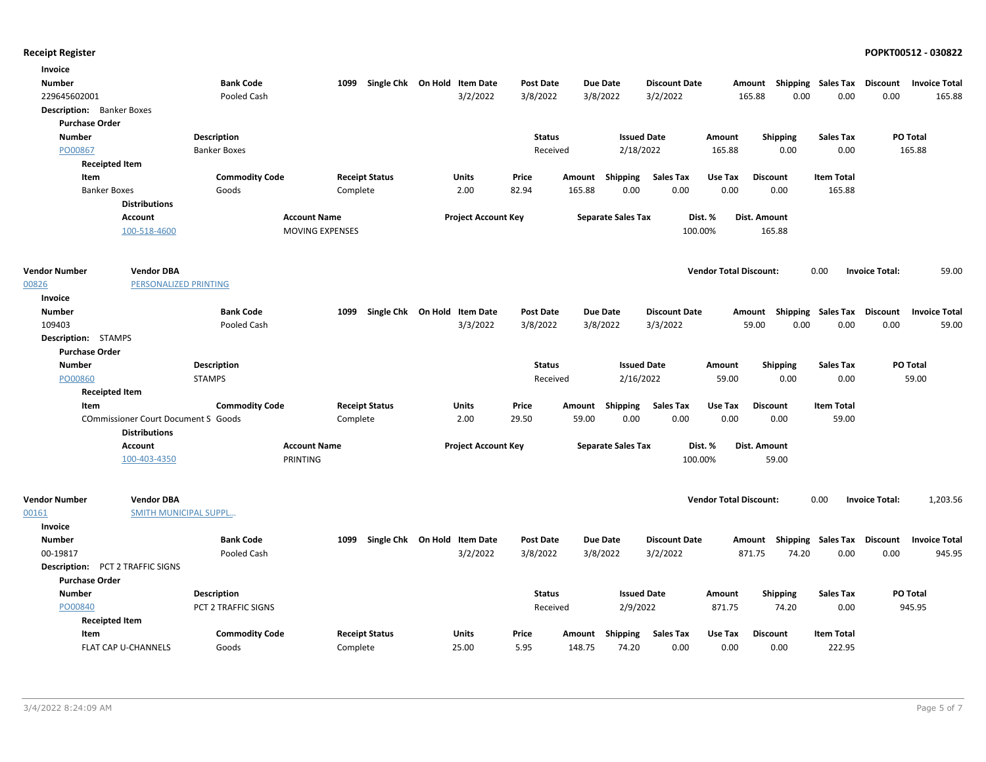| Invoice                          |                                            |                       |                        |                              |                            |                  |        |                           |                      |                               |                 |                                    |                       |                      |
|----------------------------------|--------------------------------------------|-----------------------|------------------------|------------------------------|----------------------------|------------------|--------|---------------------------|----------------------|-------------------------------|-----------------|------------------------------------|-----------------------|----------------------|
| <b>Number</b>                    |                                            | <b>Bank Code</b>      | 1099                   | Single Chk On Hold Item Date |                            | <b>Post Date</b> |        | <b>Due Date</b>           | <b>Discount Date</b> |                               |                 | Amount Shipping Sales Tax Discount |                       | <b>Invoice Total</b> |
| 229645602001                     |                                            | Pooled Cash           |                        |                              | 3/2/2022                   | 3/8/2022         |        | 3/8/2022                  | 3/2/2022             |                               | 165.88          | 0.00<br>0.00                       | 0.00                  | 165.88               |
| <b>Description:</b> Banker Boxes |                                            |                       |                        |                              |                            |                  |        |                           |                      |                               |                 |                                    |                       |                      |
| <b>Purchase Order</b>            |                                            |                       |                        |                              |                            |                  |        |                           |                      |                               |                 |                                    |                       |                      |
| <b>Number</b>                    |                                            | Description           |                        |                              |                            | <b>Status</b>    |        | <b>Issued Date</b>        |                      | Amount                        | <b>Shipping</b> | <b>Sales Tax</b>                   |                       | PO Total             |
| PO00867                          |                                            | <b>Banker Boxes</b>   |                        |                              |                            | Received         |        | 2/18/2022                 |                      | 165.88                        | 0.00            | 0.00                               |                       | 165.88               |
|                                  | <b>Receipted Item</b>                      |                       |                        |                              |                            |                  |        |                           |                      |                               |                 |                                    |                       |                      |
| Item                             |                                            | <b>Commodity Code</b> |                        | <b>Receipt Status</b>        | Units                      | Price            | Amount | Shipping                  | <b>Sales Tax</b>     | Use Tax                       | <b>Discount</b> | <b>Item Total</b>                  |                       |                      |
| <b>Banker Boxes</b>              |                                            | Goods                 | Complete               |                              | 2.00                       | 82.94            | 165.88 | 0.00                      | 0.00                 | 0.00                          | 0.00            | 165.88                             |                       |                      |
|                                  | <b>Distributions</b>                       |                       |                        |                              |                            |                  |        |                           |                      |                               |                 |                                    |                       |                      |
|                                  | <b>Account</b>                             |                       | <b>Account Name</b>    |                              | <b>Project Account Key</b> |                  |        | <b>Separate Sales Tax</b> |                      | Dist. %                       | Dist. Amount    |                                    |                       |                      |
|                                  | 100-518-4600                               |                       | <b>MOVING EXPENSES</b> |                              |                            |                  |        |                           | 100.00%              |                               | 165.88          |                                    |                       |                      |
| <b>Vendor Number</b>             | <b>Vendor DBA</b>                          |                       |                        |                              |                            |                  |        |                           |                      | <b>Vendor Total Discount:</b> |                 | 0.00                               | <b>Invoice Total:</b> | 59.00                |
| 00826                            | <b>PERSONALIZED PRINTING</b>               |                       |                        |                              |                            |                  |        |                           |                      |                               |                 |                                    |                       |                      |
| Invoice                          |                                            |                       |                        |                              |                            |                  |        |                           |                      |                               |                 |                                    |                       |                      |
| <b>Number</b>                    |                                            | <b>Bank Code</b>      | 1099                   | Single Chk On Hold Item Date |                            | <b>Post Date</b> |        | <b>Due Date</b>           | <b>Discount Date</b> |                               |                 | Amount Shipping Sales Tax Discount |                       | <b>Invoice Total</b> |
| 109403                           |                                            | Pooled Cash           |                        |                              | 3/3/2022                   | 3/8/2022         |        | 3/8/2022                  | 3/3/2022             |                               | 59.00           | 0.00<br>0.00                       | 0.00                  | 59.00                |
| Description: STAMPS              |                                            |                       |                        |                              |                            |                  |        |                           |                      |                               |                 |                                    |                       |                      |
| <b>Purchase Order</b>            |                                            |                       |                        |                              |                            |                  |        |                           |                      |                               |                 |                                    |                       |                      |
| <b>Number</b>                    |                                            | Description           |                        |                              |                            | <b>Status</b>    |        | <b>Issued Date</b>        |                      | Amount                        | <b>Shipping</b> | Sales Tax                          |                       | PO Total             |
| PO00860                          |                                            | <b>STAMPS</b>         |                        |                              |                            | Received         |        | 2/16/2022                 |                      | 59.00                         | 0.00            | 0.00                               |                       | 59.00                |
|                                  | <b>Receipted Item</b>                      |                       |                        |                              |                            |                  |        |                           |                      |                               |                 |                                    |                       |                      |
| Item                             |                                            | <b>Commodity Code</b> |                        | <b>Receipt Status</b>        | Units                      | Price            |        | Amount Shipping           | Sales Tax            | Use Tax                       | <b>Discount</b> | <b>Item Total</b>                  |                       |                      |
|                                  | <b>COmmissioner Court Document S Goods</b> |                       | Complete               |                              | 2.00                       | 29.50            | 59.00  | 0.00                      | 0.00                 | 0.00                          | 0.00            | 59.00                              |                       |                      |
|                                  | <b>Distributions</b>                       |                       |                        |                              |                            |                  |        |                           |                      |                               |                 |                                    |                       |                      |
|                                  | Account                                    |                       | <b>Account Name</b>    |                              | <b>Project Account Key</b> |                  |        | <b>Separate Sales Tax</b> |                      | Dist. %                       | Dist. Amount    |                                    |                       |                      |
|                                  | 100-403-4350                               |                       | PRINTING               |                              |                            |                  |        |                           | 100.00%              |                               | 59.00           |                                    |                       |                      |
| <b>Vendor Number</b>             | <b>Vendor DBA</b>                          |                       |                        |                              |                            |                  |        |                           |                      | <b>Vendor Total Discount:</b> |                 | 0.00                               | <b>Invoice Total:</b> | 1,203.56             |
| 00161                            | <b>SMITH MUNICIPAL SUPPL</b>               |                       |                        |                              |                            |                  |        |                           |                      |                               |                 |                                    |                       |                      |
| <b>Invoice</b>                   |                                            |                       |                        |                              |                            |                  |        |                           |                      |                               |                 |                                    |                       |                      |
| <b>Number</b>                    |                                            | <b>Bank Code</b>      | 1099                   | Single Chk On Hold Item Date |                            | <b>Post Date</b> |        | <b>Due Date</b>           | <b>Discount Date</b> |                               | Amount          | Shipping Sales Tax Discount        |                       | <b>Invoice Total</b> |
| 00-19817                         |                                            | Pooled Cash           |                        |                              | 3/2/2022                   | 3/8/2022         |        | 3/8/2022                  | 3/2/2022             |                               | 871.75<br>74.20 | 0.00                               | 0.00                  | 945.95               |
|                                  | <b>Description:</b> PCT 2 TRAFFIC SIGNS    |                       |                        |                              |                            |                  |        |                           |                      |                               |                 |                                    |                       |                      |
| <b>Purchase Order</b>            |                                            |                       |                        |                              |                            |                  |        |                           |                      |                               |                 |                                    |                       |                      |
| <b>Number</b>                    |                                            | <b>Description</b>    |                        |                              |                            | <b>Status</b>    |        | <b>Issued Date</b>        |                      | Amount                        | <b>Shipping</b> | <b>Sales Tax</b>                   |                       | PO Total             |
| PO00840                          |                                            | PCT 2 TRAFFIC SIGNS   |                        |                              |                            | Received         |        | 2/9/2022                  |                      | 871.75                        | 74.20           | 0.00                               |                       | 945.95               |
|                                  | <b>Receipted Item</b>                      |                       |                        |                              |                            |                  |        |                           |                      |                               |                 |                                    |                       |                      |
| Item                             |                                            | <b>Commodity Code</b> |                        | <b>Receipt Status</b>        | Units                      | Price            | Amount | Shipping                  | <b>Sales Tax</b>     | Use Tax                       | <b>Discount</b> | <b>Item Total</b>                  |                       |                      |
|                                  | FLAT CAP U-CHANNELS                        | Goods                 | Complete               |                              | 25.00                      | 5.95             | 148.75 | 74.20                     | 0.00                 | 0.00                          | 0.00            | 222.95                             |                       |                      |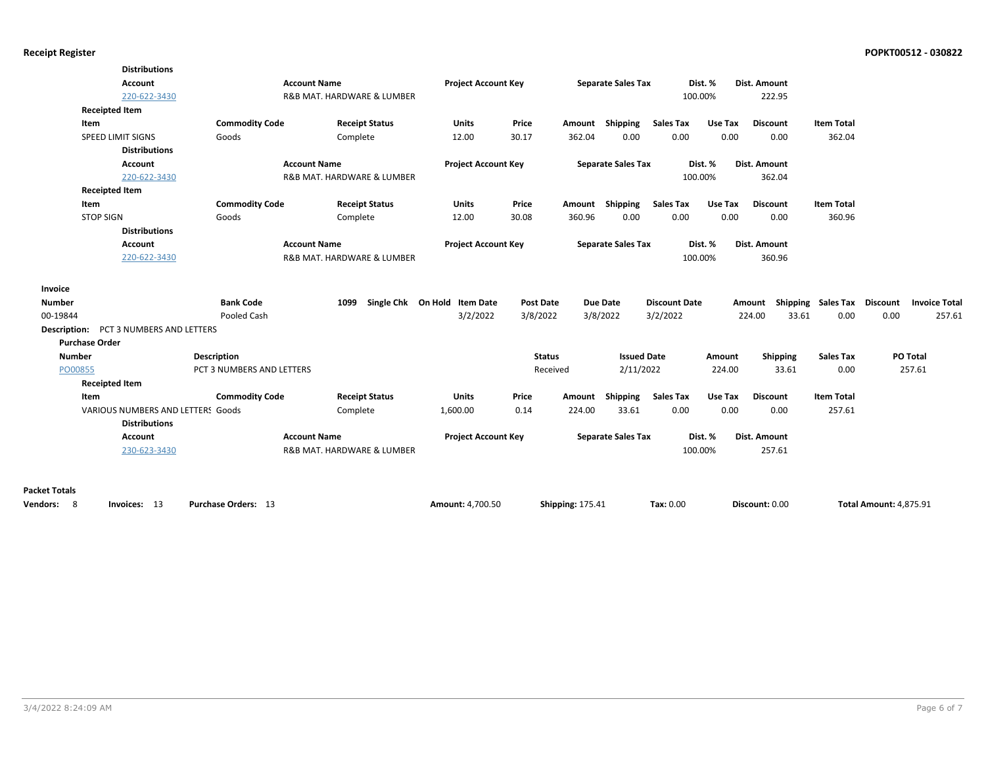|                                               | <b>Distributions</b>              |                            |                            |                              |                  |                         |                           |                      |         |                 |                           |                               |                      |
|-----------------------------------------------|-----------------------------------|----------------------------|----------------------------|------------------------------|------------------|-------------------------|---------------------------|----------------------|---------|-----------------|---------------------------|-------------------------------|----------------------|
|                                               | <b>Account</b>                    | <b>Account Name</b>        |                            | <b>Project Account Key</b>   |                  |                         | <b>Separate Sales Tax</b> |                      | Dist. % | Dist. Amount    |                           |                               |                      |
|                                               | 220-622-3430                      |                            | R&B MAT. HARDWARE & LUMBER |                              |                  |                         |                           |                      | 100.00% | 222.95          |                           |                               |                      |
| <b>Receipted Item</b>                         |                                   |                            |                            |                              |                  |                         |                           |                      |         |                 |                           |                               |                      |
| Item                                          |                                   | <b>Commodity Code</b>      | <b>Receipt Status</b>      | <b>Units</b>                 | Price            |                         | Amount Shipping           | <b>Sales Tax</b>     | Use Tax | <b>Discount</b> | <b>Item Total</b>         |                               |                      |
|                                               | SPEED LIMIT SIGNS                 | Goods                      | Complete                   | 12.00                        | 30.17            | 362.04                  | 0.00                      | 0.00                 | 0.00    | 0.00            | 362.04                    |                               |                      |
|                                               | <b>Distributions</b>              |                            |                            |                              |                  |                         |                           |                      |         |                 |                           |                               |                      |
|                                               | <b>Account</b>                    | <b>Account Name</b>        |                            | <b>Project Account Key</b>   |                  |                         | <b>Separate Sales Tax</b> |                      | Dist. % | Dist. Amount    |                           |                               |                      |
|                                               | 220-622-3430                      |                            | R&B MAT. HARDWARE & LUMBER |                              |                  |                         |                           |                      | 100.00% | 362.04          |                           |                               |                      |
| <b>Receipted Item</b>                         |                                   |                            |                            |                              |                  |                         |                           |                      |         |                 |                           |                               |                      |
| Item                                          |                                   | <b>Commodity Code</b>      | <b>Receipt Status</b>      | <b>Units</b>                 | Price            |                         | Amount Shipping           | <b>Sales Tax</b>     | Use Tax | <b>Discount</b> | <b>Item Total</b>         |                               |                      |
| <b>STOP SIGN</b>                              |                                   | Goods                      | Complete                   | 12.00                        | 30.08            | 360.96                  | 0.00                      | 0.00                 | 0.00    | 0.00            | 360.96                    |                               |                      |
|                                               | <b>Distributions</b>              |                            |                            |                              |                  |                         |                           |                      |         |                 |                           |                               |                      |
|                                               | <b>Account</b>                    | <b>Account Name</b>        |                            | <b>Project Account Key</b>   |                  |                         | <b>Separate Sales Tax</b> |                      | Dist. % | Dist. Amount    |                           |                               |                      |
|                                               | 220-622-3430                      |                            | R&B MAT. HARDWARE & LUMBER |                              |                  |                         |                           |                      | 100.00% | 360.96          |                           |                               |                      |
| Invoice                                       |                                   |                            |                            |                              |                  |                         |                           |                      |         |                 |                           |                               |                      |
| <b>Number</b>                                 |                                   | <b>Bank Code</b>           | 1099                       | Single Chk On Hold Item Date | <b>Post Date</b> |                         | <b>Due Date</b>           | <b>Discount Date</b> |         |                 | Amount Shipping Sales Tax | <b>Discount</b>               | <b>Invoice Total</b> |
| 00-19844                                      |                                   | Pooled Cash                |                            | 3/2/2022                     | 3/8/2022         |                         | 3/8/2022                  | 3/2/2022             |         | 224.00          | 33.61<br>0.00             | 0.00                          | 257.61               |
| <b>Description: PCT 3 NUMBERS AND LETTERS</b> |                                   |                            |                            |                              |                  |                         |                           |                      |         |                 |                           |                               |                      |
| <b>Purchase Order</b>                         |                                   |                            |                            |                              |                  |                         |                           |                      |         |                 |                           |                               |                      |
| <b>Number</b>                                 |                                   | Description                |                            |                              | <b>Status</b>    |                         | <b>Issued Date</b>        |                      | Amount  | Shipping        | <b>Sales Tax</b>          | PO Total                      |                      |
| PO00855                                       |                                   | PCT 3 NUMBERS AND LETTERS  |                            |                              | Received         |                         | 2/11/2022                 |                      | 224.00  | 33.61           | 0.00                      | 257.61                        |                      |
| <b>Receipted Item</b>                         |                                   |                            |                            |                              |                  |                         |                           |                      |         |                 |                           |                               |                      |
| Item                                          |                                   | <b>Commodity Code</b>      | <b>Receipt Status</b>      | <b>Units</b>                 | Price            | Amount                  | Shipping                  | <b>Sales Tax</b>     | Use Tax | <b>Discount</b> | <b>Item Total</b>         |                               |                      |
|                                               | VARIOUS NUMBERS AND LETTERS Goods |                            | Complete                   | 1,600.00                     | 0.14             | 224.00                  | 33.61                     | 0.00                 | 0.00    | 0.00            | 257.61                    |                               |                      |
|                                               | <b>Distributions</b>              |                            |                            |                              |                  |                         |                           |                      |         |                 |                           |                               |                      |
|                                               | Account                           | <b>Account Name</b>        |                            | <b>Project Account Key</b>   |                  |                         | <b>Separate Sales Tax</b> |                      | Dist. % | Dist. Amount    |                           |                               |                      |
|                                               | 230-623-3430                      |                            | R&B MAT. HARDWARE & LUMBER |                              |                  |                         |                           |                      | 100.00% | 257.61          |                           |                               |                      |
|                                               |                                   |                            |                            |                              |                  |                         |                           |                      |         |                 |                           |                               |                      |
| <b>Packet Totals</b>                          |                                   |                            |                            |                              |                  |                         |                           |                      |         |                 |                           |                               |                      |
| Vendors: 8                                    | Invoices: 13                      | <b>Purchase Orders: 13</b> |                            | Amount: 4,700.50             |                  | <b>Shipping: 175.41</b> |                           | Tax: 0.00            |         | Discount: 0.00  |                           | <b>Total Amount: 4,875.91</b> |                      |